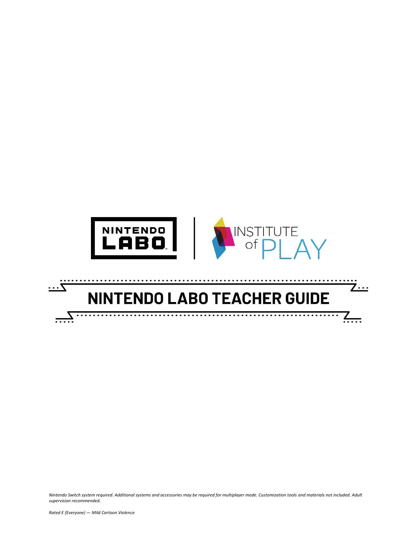

# **NINTENDO LABO TEACHER GUIDE**

<u>7...</u>

 $\sqrt{ }$ 

*Nintendo Switch system required. Additional systems and accessories may be required for multiplayer mode. Customization tools and materials not included. Adult supervision recommended.*

 $\overline{\cdots}$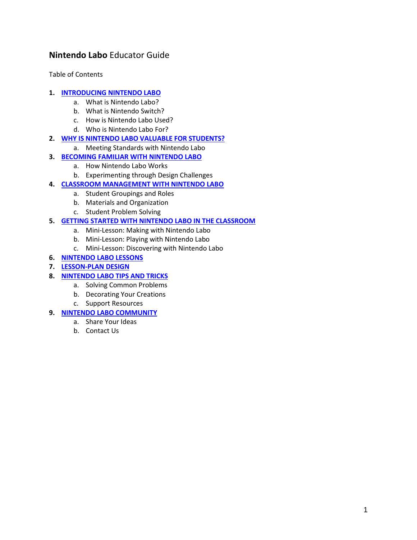## **Nintendo Labo** Educator Guide

Table of Contents

## **1. [INTRODUCING NINTENDO LABO](#page-2-0)**

- a. What is Nintendo Labo?
- b. What is Nintendo Switch?
- c. How is Nintendo Labo Used?
- d. Who is Nintendo Labo For?

## **2. [WHY IS NINTENDO LABO VALUABLE FOR STUDENTS?](#page-3-0)**

a. Meeting Standards with Nintendo Labo

## **3. [BECOMING FAMILIAR WITH NINTENDO LABO](#page-3-1)**

- a. How Nintendo Labo Works
	- b. Experimenting through Design Challenges

## **4. [CLASSROOM MANAGEMENT WITH NINTENDO LABO](#page-4-0)**

- a. Student Groupings and Roles
- b. Materials and Organization
- c. Student Problem Solving

## **5. [GETTING STARTED WITH NINTENDO LABO IN THE CLASSROOM](#page-5-0)**

- a. Mini-Lesson: Making with Nintendo Labo
- b. Mini-Lesson: Playing with Nintendo Labo
- c. Mini-Lesson: Discovering with Nintendo Labo
- **6. [NINTENDO LABO LESSONS](#page-9-0)**
- **7. [LESSON-PLAN DESIGN](#page-14-0)**
- **8. [NINTENDO LABO TIPS AND TRICKS](#page-19-0)**
	- a. Solving Common Problems
	- b. Decorating Your Creations
	- c. Support Resources
- **9. [NINTENDO LABO COMMUNITY](#page-21-0)**
	- a. Share Your Ideas
		- b. Contact Us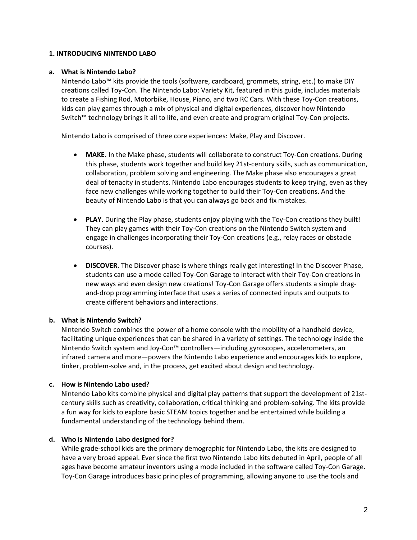## <span id="page-2-0"></span>**1. INTRODUCING NINTENDO LABO**

## **a. What is Nintendo Labo?**

Nintendo Labo™ kits provide the tools (software, cardboard, grommets, string, etc.) to make DIY creations called Toy-Con. The Nintendo Labo: Variety Kit, featured in this guide, includes materials to create a Fishing Rod, Motorbike, House, Piano, and two RC Cars. With these Toy-Con creations, kids can play games through a mix of physical and digital experiences, discover how Nintendo Switch™ technology brings it all to life, and even create and program original Toy-Con projects.

Nintendo Labo is comprised of three core experiences: Make, Play and Discover.

- **MAKE.** In the Make phase, students will collaborate to construct Toy-Con creations. During this phase, students work together and build key 21st-century skills, such as communication, collaboration, problem solving and engineering. The Make phase also encourages a great deal of tenacity in students. Nintendo Labo encourages students to keep trying, even as they face new challenges while working together to build their Toy-Con creations. And the beauty of Nintendo Labo is that you can always go back and fix mistakes.
- **PLAY.** During the Play phase, students enjoy playing with the Toy-Con creations they built! They can play games with their Toy-Con creations on the Nintendo Switch system and engage in challenges incorporating their Toy-Con creations (e.g., relay races or obstacle courses).
- **DISCOVER.** The Discover phase is where things really get interesting! In the Discover Phase, students can use a mode called Toy-Con Garage to interact with their Toy-Con creations in new ways and even design new creations! Toy-Con Garage offers students a simple dragand-drop programming interface that uses a series of connected inputs and outputs to create different behaviors and interactions.

## **b. What is Nintendo Switch?**

Nintendo Switch combines the power of a home console with the mobility of a handheld device, facilitating unique experiences that can be shared in a variety of settings. The technology inside the Nintendo Switch system and Joy-Con™ controllers—including gyroscopes, accelerometers, an infrared camera and more—powers the Nintendo Labo experience and encourages kids to explore, tinker, problem-solve and, in the process, get excited about design and technology.

## **c. How is Nintendo Labo used?**

Nintendo Labo kits combine physical and digital play patterns that support the development of 21stcentury skills such as creativity, collaboration, critical thinking and problem-solving. The kits provide a fun way for kids to explore basic STEAM topics together and be entertained while building a fundamental understanding of the technology behind them.

## **d. Who is Nintendo Labo designed for?**

While grade-school kids are the primary demographic for Nintendo Labo, the kits are designed to have a very broad appeal. Ever since the first two Nintendo Labo kits debuted in April, people of all ages have become amateur inventors using a mode included in the software called Toy-Con Garage. Toy-Con Garage introduces basic principles of programming, allowing anyone to use the tools and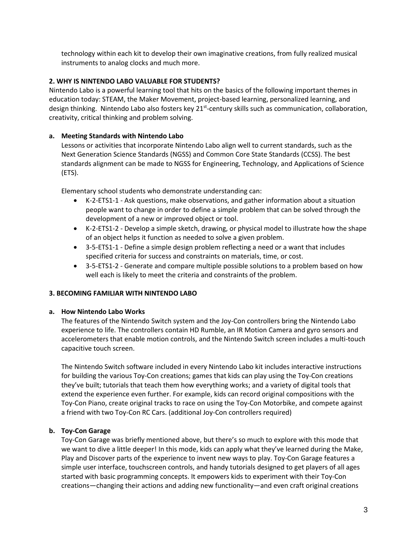technology within each kit to develop their own imaginative creations, from fully realized musical instruments to analog clocks and much more.

## <span id="page-3-0"></span>**2. WHY IS NINTENDO LABO VALUABLE FOR STUDENTS?**

Nintendo Labo is a powerful learning tool that hits on the basics of the following important themes in education today: STEAM, the Maker Movement, project-based learning, personalized learning, and design thinking. Nintendo Labo also fosters key 21<sup>st</sup>-century skills such as communication, collaboration, creativity, critical thinking and problem solving.

## **a. Meeting Standards with Nintendo Labo**

Lessons or activities that incorporate Nintendo Labo align well to current standards, such as the Next Generation Science Standards (NGSS) and Common Core State Standards (CCSS). The best standards alignment can be made to NGSS for Engineering, Technology, and Applications of Science (ETS).

Elementary school students who demonstrate understanding can:

- K-2-ETS1-1 Ask questions, make observations, and gather information about a situation people want to change in order to define a simple problem that can be solved through the development of a new or improved object or tool.
- K-2-ETS1-2 Develop a simple sketch, drawing, or physical model to illustrate how the shape of an object helps it function as needed to solve a given problem.
- 3-5-ETS1-1 Define a simple design problem reflecting a need or a want that includes specified criteria for success and constraints on materials, time, or cost.
- 3-5-ETS1-2 Generate and compare multiple possible solutions to a problem based on how well each is likely to meet the criteria and constraints of the problem.

## <span id="page-3-1"></span>**3. BECOMING FAMILIAR WITH NINTENDO LABO**

## **a. How Nintendo Labo Works**

The features of the Nintendo Switch system and the Joy-Con controllers bring the Nintendo Labo experience to life. The controllers contain HD Rumble, an IR Motion Camera and gyro sensors and accelerometers that enable motion controls, and the Nintendo Switch screen includes a multi-touch capacitive touch screen.

The Nintendo Switch software included in every Nintendo Labo kit includes interactive instructions for building the various Toy-Con creations; games that kids can play using the Toy-Con creations they've built; tutorials that teach them how everything works; and a variety of digital tools that extend the experience even further. For example, kids can record original compositions with the Toy-Con Piano, create original tracks to race on using the Toy-Con Motorbike, and compete against a friend with two Toy-Con RC Cars. (additional Joy-Con controllers required)

## **b. Toy-Con Garage**

Toy-Con Garage was briefly mentioned above, but there's so much to explore with this mode that we want to dive a little deeper! In this mode, kids can apply what they've learned during the Make, Play and Discover parts of the experience to invent new ways to play. Toy-Con Garage features a simple user interface, touchscreen controls, and handy tutorials designed to get players of all ages started with basic programming concepts. It empowers kids to experiment with their Toy-Con creations—changing their actions and adding new functionality—and even craft original creations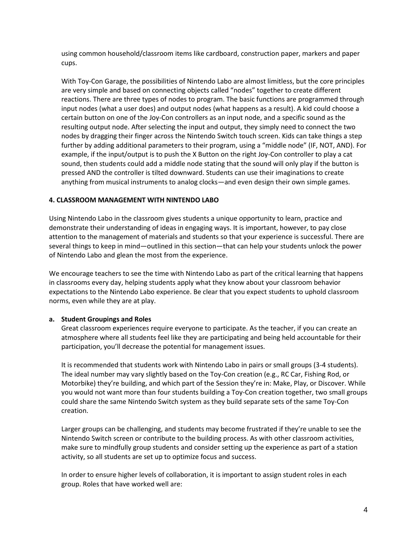using common household/classroom items like cardboard, construction paper, markers and paper cups.

With Toy-Con Garage, the possibilities of Nintendo Labo are almost limitless, but the core principles are very simple and based on connecting objects called "nodes" together to create different reactions. There are three types of nodes to program. The basic functions are programmed through input nodes (what a user does) and output nodes (what happens as a result). A kid could choose a certain button on one of the Joy-Con controllers as an input node, and a specific sound as the resulting output node. After selecting the input and output, they simply need to connect the two nodes by dragging their finger across the Nintendo Switch touch screen. Kids can take things a step further by adding additional parameters to their program, using a "middle node" (IF, NOT, AND). For example, if the input/output is to push the X Button on the right Joy-Con controller to play a cat sound, then students could add a middle node stating that the sound will only play if the button is pressed AND the controller is tilted downward. Students can use their imaginations to create anything from musical instruments to analog clocks—and even design their own simple games.

## <span id="page-4-0"></span>**4. CLASSROOM MANAGEMENT WITH NINTENDO LABO**

Using Nintendo Labo in the classroom gives students a unique opportunity to learn, practice and demonstrate their understanding of ideas in engaging ways. It is important, however, to pay close attention to the management of materials and students so that your experience is successful. There are several things to keep in mind—outlined in this section—that can help your students unlock the power of Nintendo Labo and glean the most from the experience.

We encourage teachers to see the time with Nintendo Labo as part of the critical learning that happens in classrooms every day, helping students apply what they know about your classroom behavior expectations to the Nintendo Labo experience. Be clear that you expect students to uphold classroom norms, even while they are at play.

## **a. Student Groupings and Roles**

Great classroom experiences require everyone to participate. As the teacher, if you can create an atmosphere where all students feel like they are participating and being held accountable for their participation, you'll decrease the potential for management issues.

It is recommended that students work with Nintendo Labo in pairs or small groups (3-4 students). The ideal number may vary slightly based on the Toy-Con creation (e.g., RC Car, Fishing Rod, or Motorbike) they're building, and which part of the Session they're in: Make, Play, or Discover. While you would not want more than four students building a Toy-Con creation together, two small groups could share the same Nintendo Switch system as they build separate sets of the same Toy-Con creation.

Larger groups can be challenging, and students may become frustrated if they're unable to see the Nintendo Switch screen or contribute to the building process. As with other classroom activities, make sure to mindfully group students and consider setting up the experience as part of a station activity, so all students are set up to optimize focus and success.

In order to ensure higher levels of collaboration, it is important to assign student roles in each group. Roles that have worked well are: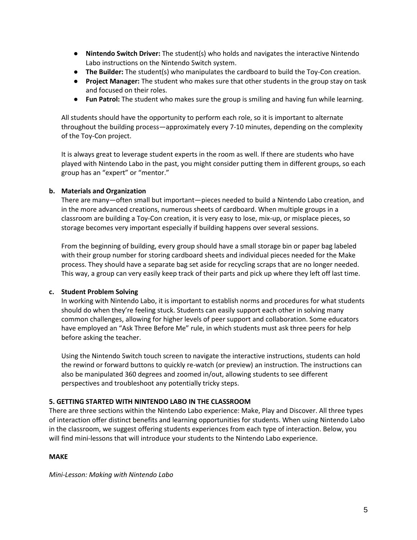- **Nintendo Switch Driver:** The student(s) who holds and navigates the interactive Nintendo Labo instructions on the Nintendo Switch system.
- **The Builder:** The student(s) who manipulates the cardboard to build the Toy-Con creation.
- **Project Manager:** The student who makes sure that other students in the group stay on task and focused on their roles.
- **Fun Patrol:** The student who makes sure the group is smiling and having fun while learning.

All students should have the opportunity to perform each role, so it is important to alternate throughout the building process—approximately every 7-10 minutes, depending on the complexity of the Toy-Con project.

It is always great to leverage student experts in the room as well. If there are students who have played with Nintendo Labo in the past, you might consider putting them in different groups, so each group has an "expert" or "mentor."

## **b. Materials and Organization**

There are many—often small but important—pieces needed to build a Nintendo Labo creation, and in the more advanced creations, numerous sheets of cardboard. When multiple groups in a classroom are building a Toy-Con creation, it is very easy to lose, mix-up, or misplace pieces, so storage becomes very important especially if building happens over several sessions.

From the beginning of building, every group should have a small storage bin or paper bag labeled with their group number for storing cardboard sheets and individual pieces needed for the Make process. They should have a separate bag set aside for recycling scraps that are no longer needed. This way, a group can very easily keep track of their parts and pick up where they left off last time.

## **c. Student Problem Solving**

In working with Nintendo Labo, it is important to establish norms and procedures for what students should do when they're feeling stuck. Students can easily support each other in solving many common challenges, allowing for higher levels of peer support and collaboration. Some educators have employed an "Ask Three Before Me" rule, in which students must ask three peers for help before asking the teacher.

Using the Nintendo Switch touch screen to navigate the interactive instructions, students can hold the rewind or forward buttons to quickly re-watch (or preview) an instruction. The instructions can also be manipulated 360 degrees and zoomed in/out, allowing students to see different perspectives and troubleshoot any potentially tricky steps.

## <span id="page-5-0"></span>**5. GETTING STARTED WITH NINTENDO LABO IN THE CLASSROOM**

There are three sections within the Nintendo Labo experience: Make, Play and Discover. All three types of interaction offer distinct benefits and learning opportunities for students. When using Nintendo Labo in the classroom, we suggest offering students experiences from each type of interaction. Below, you will find mini-lessons that will introduce your students to the Nintendo Labo experience.

## **MAKE**

*Mini-Lesson: Making with Nintendo Labo*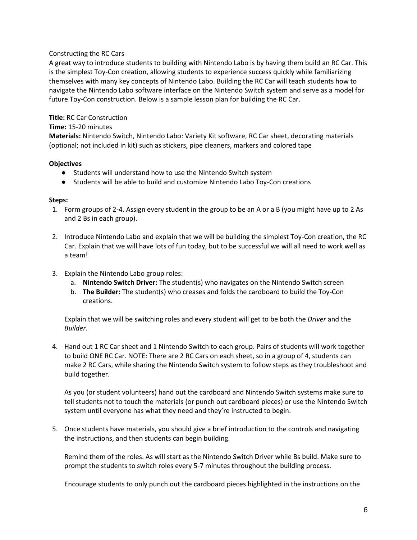## Constructing the RC Cars

A great way to introduce students to building with Nintendo Labo is by having them build an RC Car. This is the simplest Toy-Con creation, allowing students to experience success quickly while familiarizing themselves with many key concepts of Nintendo Labo. Building the RC Car will teach students how to navigate the Nintendo Labo software interface on the Nintendo Switch system and serve as a model for future Toy-Con construction. Below is a sample lesson plan for building the RC Car.

## **Title:** RC Car Construction

## **Time:** 15-20 minutes

**Materials:** Nintendo Switch, Nintendo Labo: Variety Kit software, RC Car sheet, decorating materials (optional; not included in kit) such as stickers, pipe cleaners, markers and colored tape

## **Objectives**

- Students will understand how to use the Nintendo Switch system
- Students will be able to build and customize Nintendo Labo Toy-Con creations

## **Steps:**

- 1. Form groups of 2-4. Assign every student in the group to be an A or a B (you might have up to 2 As and 2 Bs in each group).
- 2. Introduce Nintendo Labo and explain that we will be building the simplest Toy-Con creation, the RC Car. Explain that we will have lots of fun today, but to be successful we will all need to work well as a team!
- 3. Explain the Nintendo Labo group roles:
	- a. **Nintendo Switch Driver:** The student(s) who navigates on the Nintendo Switch screen
	- b. **The Builder:** The student(s) who creases and folds the cardboard to build the Toy-Con creations.

Explain that we will be switching roles and every student will get to be both the *Driver* and the *Builder*.

4. Hand out 1 RC Car sheet and 1 Nintendo Switch to each group. Pairs of students will work together to build ONE RC Car. NOTE: There are 2 RC Cars on each sheet, so in a group of 4, students can make 2 RC Cars, while sharing the Nintendo Switch system to follow steps as they troubleshoot and build together.

As you (or student volunteers) hand out the cardboard and Nintendo Switch systems make sure to tell students not to touch the materials (or punch out cardboard pieces) or use the Nintendo Switch system until everyone has what they need and they're instructed to begin.

5. Once students have materials, you should give a brief introduction to the controls and navigating the instructions, and then students can begin building.

Remind them of the roles. As will start as the Nintendo Switch Driver while Bs build. Make sure to prompt the students to switch roles every 5-7 minutes throughout the building process.

Encourage students to only punch out the cardboard pieces highlighted in the instructions on the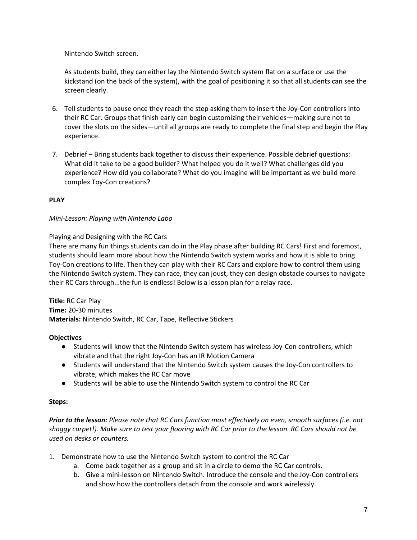Nintendo Switch screen.

As students build, they can either lay the Nintendo Switch system flat on a surface or use the kickstand (on the back of the system), with the goal of positioning it so that all students can see the screen clearly.

- 6. Tell students to pause once they reach the step asking them to insert the Joy-Con controllers into their RC Car. Groups that finish early can begin customizing their vehicles—making sure not to cover the slots on the sides—until all groups are ready to complete the final step and begin the Play experience.
- 7. Debrief Bring students back together to discuss their experience. Possible debrief questions: What did it take to be a good builder? What helped you do it well? What challenges did you experience? How did you collaborate? What do you imagine will be important as we build more complex Toy-Con creations?

## **PLAY**

## *Mini-Lesson: Playing with Nintendo Labo*

Playing and Designing with the RC Cars

There are many fun things students can do in the Play phase after building RC Cars! First and foremost, students should learn more about how the Nintendo Switch system works and how it is able to bring Toy-Con creations to life. Then they can play with their RC Cars and explore how to control them using the Nintendo Switch system. They can race, they can joust, they can design obstacle courses to navigate their RC Cars through...the fun is endless! Below is a lesson plan for a relay race.

**Title:** RC Car Play **Time:** 20-30 minutes **Materials:** Nintendo Switch, RC Car, Tape, Reflective Stickers

## **Objectives**

- Students will know that the Nintendo Switch system has wireless Joy-Con controllers, which vibrate and that the right Joy-Con has an IR Motion Camera
- Students will understand that the Nintendo Switch system causes the Joy-Con controllers to vibrate, which makes the RC Car move
- Students will be able to use the Nintendo Switch system to control the RC Car

## **Steps:**

*Prior to the lesson: Please note that RC Cars function most effectively on even, smooth surfaces (i.e. not shaggy carpet!). Make sure to test your flooring with RC Car prior to the lesson. RC Cars should not be used on desks or counters.*

- 1. Demonstrate how to use the Nintendo Switch system to control the RC Car
	- a. Come back together as a group and sit in a circle to demo the RC Car controls.
	- b. Give a mini-lesson on Nintendo Switch. Introduce the console and the Joy-Con controllers and show how the controllers detach from the console and work wirelessly.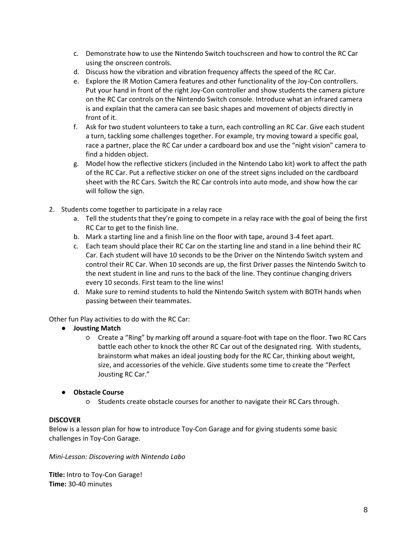- c. Demonstrate how to use the Nintendo Switch touchscreen and how to control the RC Car using the onscreen controls.
- d. Discuss how the vibration and vibration frequency affects the speed of the RC Car.
- e. Explore the IR Motion Camera features and other functionality of the Joy-Con controllers. Put your hand in front of the right Joy-Con controller and show students the camera picture on the RC Car controls on the Nintendo Switch console. Introduce what an infrared camera is and explain that the camera can see basic shapes and movement of objects directly in front of it.
- f. Ask for two student volunteers to take a turn, each controlling an RC Car. Give each student a turn, tackling some challenges together. For example, try moving toward a specific goal, race a partner, place the RC Car under a cardboard box and use the "night vision" camera to find a hidden object.
- g. Model how the reflective stickers (included in the Nintendo Labo kit) work to affect the path of the RC Car. Put a reflective sticker on one of the street signs included on the cardboard sheet with the RC Cars. Switch the RC Car controls into auto mode, and show how the car will follow the sign.
- 2. Students come together to participate in a relay race
	- a. Tell the students that they're going to compete in a relay race with the goal of being the first RC Car to get to the finish line.
	- b. Mark a starting line and a finish line on the floor with tape, around 3-4 feet apart.
	- c. Each team should place their RC Car on the starting line and stand in a line behind their RC Car. Each student will have 10 seconds to be the Driver on the Nintendo Switch system and control their RC Car. When 10 seconds are up, the first Driver passes the Nintendo Switch to the next student in line and runs to the back of the line. They continue changing drivers every 10 seconds. First team to the line wins!
	- d. Make sure to remind students to hold the Nintendo Switch system with BOTH hands when passing between their teammates.

Other fun Play activities to do with the RC Car:

- **Jousting Match** 
	- Create a "Ring" by marking off around a square-foot with tape on the floor. Two RC Cars battle each other to knock the other RC Car out of the designated ring. With students, brainstorm what makes an ideal jousting body for the RC Car, thinking about weight, size, and accessories of the vehicle. Give students some time to create the "Perfect Jousting RC Car."

## ● **Obstacle Course**

○ Students create obstacle courses for another to navigate their RC Cars through.

## **DISCOVER**

Below is a lesson plan for how to introduce Toy-Con Garage and for giving students some basic challenges in Toy-Con Garage.

*Mini-Lesson: Discovering with Nintendo Labo* 

**Title:** Intro to Toy-Con Garage! **Time:** 30-40 minutes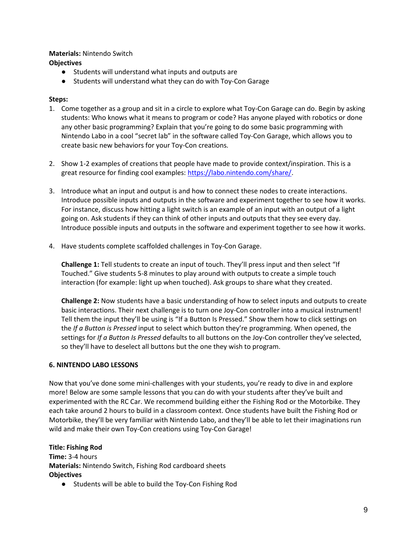#### **Materials:** Nintendo Switch **Objectives**

- Students will understand what inputs and outputs are
- Students will understand what they can do with Toy-Con Garage

## **Steps:**

- 1. Come together as a group and sit in a circle to explore what Toy-Con Garage can do. Begin by asking students: Who knows what it means to program or code? Has anyone played with robotics or done any other basic programming? Explain that you're going to do some basic programming with Nintendo Labo in a cool "secret lab" in the software called Toy-Con Garage, which allows you to create basic new behaviors for your Toy-Con creations.
- 2. Show 1-2 examples of creations that people have made to provide context/inspiration. This is a great resource for finding cool examples[: https://labo.nintendo.com/share/.](https://labo.nintendo.com/share/)
- 3. Introduce what an input and output is and how to connect these nodes to create interactions. Introduce possible inputs and outputs in the software and experiment together to see how it works. For instance, discuss how hitting a light switch is an example of an input with an output of a light going on. Ask students if they can think of other inputs and outputs that they see every day. Introduce possible inputs and outputs in the software and experiment together to see how it works.
- 4. Have students complete scaffolded challenges in Toy-Con Garage.

**Challenge 1:** Tell students to create an input of touch. They'll press input and then select "If Touched." Give students 5-8 minutes to play around with outputs to create a simple touch interaction (for example: light up when touched). Ask groups to share what they created.

**Challenge 2:** Now students have a basic understanding of how to select inputs and outputs to create basic interactions. Their next challenge is to turn one Joy-Con controller into a musical instrument! Tell them the input they'll be using is "If a Button Is Pressed." Show them how to click settings on the *If a Button is Pressed* input to select which button they're programming. When opened, the settings for *If a Button Is Pressed* defaults to all buttons on the Joy-Con controller they've selected, so they'll have to deselect all buttons but the one they wish to program.

## <span id="page-9-0"></span>**6. NINTENDO LABO LESSONS**

Now that you've done some mini-challenges with your students, you're ready to dive in and explore more! Below are some sample lessons that you can do with your students after they've built and experimented with the RC Car. We recommend building either the Fishing Rod or the Motorbike. They each take around 2 hours to build in a classroom context. Once students have built the Fishing Rod or Motorbike, they'll be very familiar with Nintendo Labo, and they'll be able to let their imaginations run wild and make their own Toy-Con creations using Toy-Con Garage!

**Title: Fishing Rod Time:** 3-4 hours **Materials:** Nintendo Switch, Fishing Rod cardboard sheets **Objectives**

● Students will be able to build the Toy-Con Fishing Rod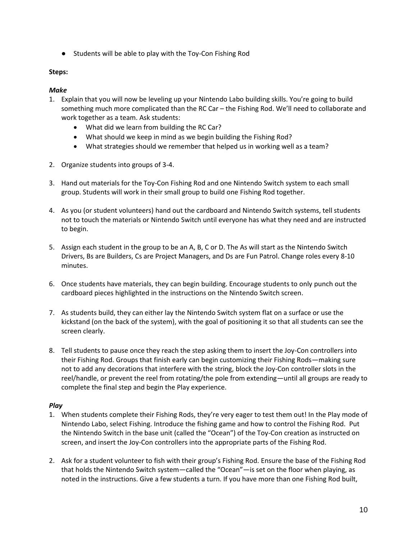● Students will be able to play with the Toy-Con Fishing Rod

## **Steps:**

## *Make*

- 1. Explain that you will now be leveling up your Nintendo Labo building skills. You're going to build something much more complicated than the RC Car - the Fishing Rod. We'll need to collaborate and work together as a team. Ask students:
	- What did we learn from building the RC Car?
	- What should we keep in mind as we begin building the Fishing Rod?
	- What strategies should we remember that helped us in working well as a team?
- 2. Organize students into groups of 3-4.
- 3. Hand out materials for the Toy-Con Fishing Rod and one Nintendo Switch system to each small group. Students will work in their small group to build one Fishing Rod together.
- 4. As you (or student volunteers) hand out the cardboard and Nintendo Switch systems, tell students not to touch the materials or Nintendo Switch until everyone has what they need and are instructed to begin.
- 5. Assign each student in the group to be an A, B, C or D. The As will start as the Nintendo Switch Drivers, Bs are Builders, Cs are Project Managers, and Ds are Fun Patrol. Change roles every 8-10 minutes.
- 6. Once students have materials, they can begin building. Encourage students to only punch out the cardboard pieces highlighted in the instructions on the Nintendo Switch screen.
- 7. As students build, they can either lay the Nintendo Switch system flat on a surface or use the kickstand (on the back of the system), with the goal of positioning it so that all students can see the screen clearly.
- 8. Tell students to pause once they reach the step asking them to insert the Joy-Con controllers into their Fishing Rod. Groups that finish early can begin customizing their Fishing Rods—making sure not to add any decorations that interfere with the string, block the Joy-Con controller slots in the reel/handle, or prevent the reel from rotating/the pole from extending—until all groups are ready to complete the final step and begin the Play experience.

## *Play*

- 1. When students complete their Fishing Rods, they're very eager to test them out! In the Play mode of Nintendo Labo, select Fishing. Introduce the fishing game and how to control the Fishing Rod. Put the Nintendo Switch in the base unit (called the "Ocean") of the Toy-Con creation as instructed on screen, and insert the Joy-Con controllers into the appropriate parts of the Fishing Rod.
- 2. Ask for a student volunteer to fish with their group's Fishing Rod. Ensure the base of the Fishing Rod that holds the Nintendo Switch system—called the "Ocean"—is set on the floor when playing, as noted in the instructions. Give a few students a turn. If you have more than one Fishing Rod built,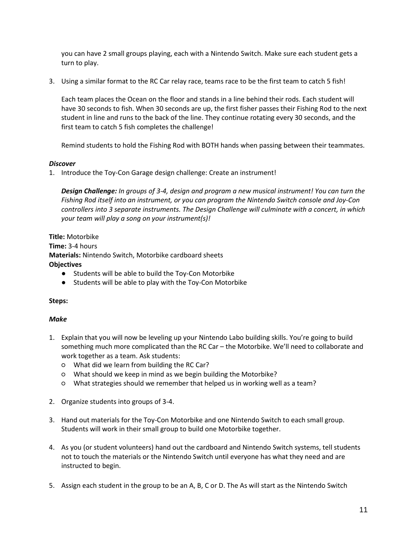you can have 2 small groups playing, each with a Nintendo Switch. Make sure each student gets a turn to play.

3. Using a similar format to the RC Car relay race, teams race to be the first team to catch 5 fish!

Each team places the Ocean on the floor and stands in a line behind their rods. Each student will have 30 seconds to fish. When 30 seconds are up, the first fisher passes their Fishing Rod to the next student in line and runs to the back of the line. They continue rotating every 30 seconds, and the first team to catch 5 fish completes the challenge!

Remind students to hold the Fishing Rod with BOTH hands when passing between their teammates.

## *Discover*

1. Introduce the Toy-Con Garage design challenge: Create an instrument!

*Design Challenge: In groups of 3-4, design and program a new musical instrument! You can turn the Fishing Rod itself into an instrument, or you can program the Nintendo Switch console and Joy-Con controllers into 3 separate instruments. The Design Challenge will culminate with a concert, in which your team will play a song on your instrument(s)!* 

**Title:** Motorbike **Time:** 3-4 hours **Materials:** Nintendo Switch, Motorbike cardboard sheets **Objectives**

- Students will be able to build the Toy-Con Motorbike
- Students will be able to play with the Toy-Con Motorbike

## **Steps:**

## *Make*

- 1. Explain that you will now be leveling up your Nintendo Labo building skills. You're going to build something much more complicated than the RC Car – the Motorbike. We'll need to collaborate and work together as a team. Ask students:
	- What did we learn from building the RC Car?
	- What should we keep in mind as we begin building the Motorbike?
	- What strategies should we remember that helped us in working well as a team?
- 2. Organize students into groups of 3-4.
- 3. Hand out materials for the Toy-Con Motorbike and one Nintendo Switch to each small group. Students will work in their small group to build one Motorbike together.
- 4. As you (or student volunteers) hand out the cardboard and Nintendo Switch systems, tell students not to touch the materials or the Nintendo Switch until everyone has what they need and are instructed to begin.
- 5. Assign each student in the group to be an A, B, C or D. The As will start as the Nintendo Switch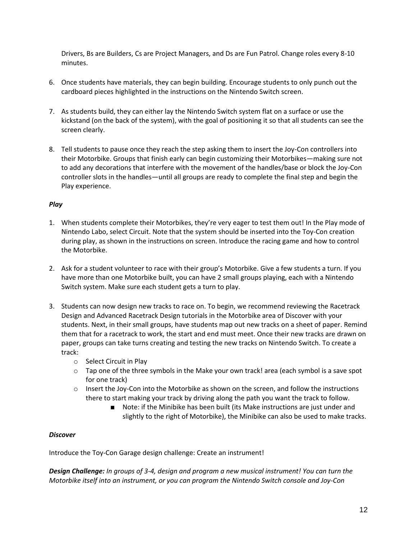Drivers, Bs are Builders, Cs are Project Managers, and Ds are Fun Patrol. Change roles every 8-10 minutes.

- 6. Once students have materials, they can begin building. Encourage students to only punch out the cardboard pieces highlighted in the instructions on the Nintendo Switch screen.
- 7. As students build, they can either lay the Nintendo Switch system flat on a surface or use the kickstand (on the back of the system), with the goal of positioning it so that all students can see the screen clearly.
- 8. Tell students to pause once they reach the step asking them to insert the Joy-Con controllers into their Motorbike. Groups that finish early can begin customizing their Motorbikes—making sure not to add any decorations that interfere with the movement of the handles/base or block the Joy-Con controller slots in the handles—until all groups are ready to complete the final step and begin the Play experience.

## *Play*

- 1. When students complete their Motorbikes, they're very eager to test them out! In the Play mode of Nintendo Labo, select Circuit. Note that the system should be inserted into the Toy-Con creation during play, as shown in the instructions on screen. Introduce the racing game and how to control the Motorbike.
- 2. Ask for a student volunteer to race with their group's Motorbike. Give a few students a turn. If you have more than one Motorbike built, you can have 2 small groups playing, each with a Nintendo Switch system. Make sure each student gets a turn to play.
- 3. Students can now design new tracks to race on. To begin, we recommend reviewing the Racetrack Design and Advanced Racetrack Design tutorials in the Motorbike area of Discover with your students. Next, in their small groups, have students map out new tracks on a sheet of paper. Remind them that for a racetrack to work, the start and end must meet. Once their new tracks are drawn on paper, groups can take turns creating and testing the new tracks on Nintendo Switch. To create a track:
	- o Select Circuit in Play
	- $\circ$  Tap one of the three symbols in the Make your own track! area (each symbol is a save spot for one track)
	- $\circ$  Insert the Joy-Con into the Motorbike as shown on the screen, and follow the instructions there to start making your track by driving along the path you want the track to follow.
		- Note: if the Minibike has been built (its Make instructions are just under and slightly to the right of Motorbike), the Minibike can also be used to make tracks.

## *Discover*

Introduce the Toy-Con Garage design challenge: Create an instrument!

*Design Challenge: In groups of 3-4, design and program a new musical instrument! You can turn the Motorbike itself into an instrument, or you can program the Nintendo Switch console and Joy-Con*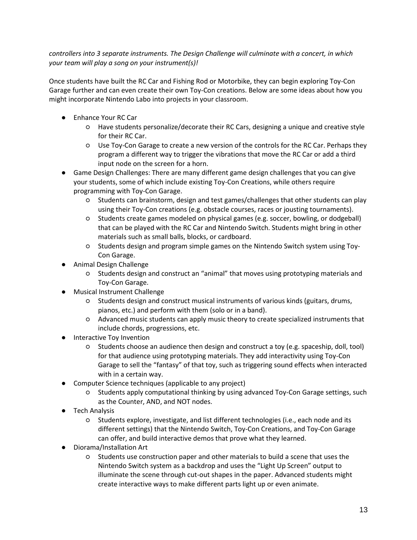*controllers into 3 separate instruments. The Design Challenge will culminate with a concert, in which your team will play a song on your instrument(s)!* 

Once students have built the RC Car and Fishing Rod or Motorbike, they can begin exploring Toy-Con Garage further and can even create their own Toy-Con creations. Below are some ideas about how you might incorporate Nintendo Labo into projects in your classroom.

- Enhance Your RC Car
	- Have students personalize/decorate their RC Cars, designing a unique and creative style for their RC Car.
	- Use Toy-Con Garage to create a new version of the controls for the RC Car. Perhaps they program a different way to trigger the vibrations that move the RC Car or add a third input node on the screen for a horn.
- Game Design Challenges: There are many different game design challenges that you can give your students, some of which include existing Toy-Con Creations, while others require programming with Toy-Con Garage.
	- Students can brainstorm, design and test games/challenges that other students can play using their Toy-Con creations (e.g. obstacle courses, races or jousting tournaments).
	- Students create games modeled on physical games (e.g. soccer, bowling, or dodgeball) that can be played with the RC Car and Nintendo Switch. Students might bring in other materials such as small balls, blocks, or cardboard.
	- Students design and program simple games on the Nintendo Switch system using Toy-Con Garage.
- Animal Design Challenge
	- Students design and construct an "animal" that moves using prototyping materials and Toy-Con Garage.
- **Musical Instrument Challenge** 
	- Students design and construct musical instruments of various kinds (guitars, drums, pianos, etc.) and perform with them (solo or in a band).
	- Advanced music students can apply music theory to create specialized instruments that include chords, progressions, etc.
- **Interactive Toy Invention** 
	- Students choose an audience then design and construct a toy (e.g. spaceship, doll, tool) for that audience using prototyping materials. They add interactivity using Toy-Con Garage to sell the "fantasy" of that toy, such as triggering sound effects when interacted with in a certain way.
- Computer Science techniques (applicable to any project)
	- Students apply computational thinking by using advanced Toy-Con Garage settings, such as the Counter, AND, and NOT nodes.
- **Tech Analysis** 
	- Students explore, investigate, and list different technologies (i.e., each node and its different settings) that the Nintendo Switch, Toy-Con Creations, and Toy-Con Garage can offer, and build interactive demos that prove what they learned.
- Diorama/Installation Art
	- Students use construction paper and other materials to build a scene that uses the Nintendo Switch system as a backdrop and uses the "Light Up Screen" output to illuminate the scene through cut-out shapes in the paper. Advanced students might create interactive ways to make different parts light up or even animate.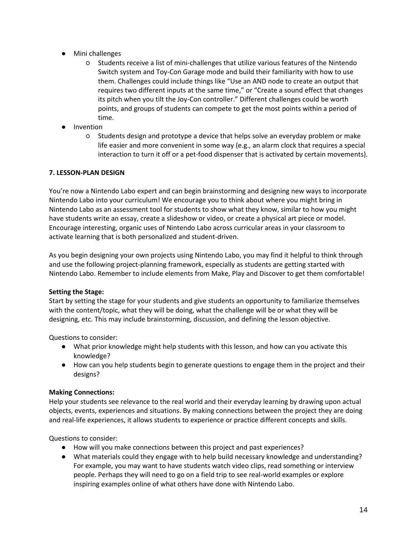- Mini challenges
	- Students receive a list of mini-challenges that utilize various features of the Nintendo Switch system and Toy-Con Garage mode and build their familiarity with how to use them. Challenges could include things like "Use an AND node to create an output that requires two different inputs at the same time," or "Create a sound effect that changes its pitch when you tilt the Joy-Con controller." Different challenges could be worth points, and groups of students can compete to get the most points within a period of time.
- **Invention** 
	- Students design and prototype a device that helps solve an everyday problem or make life easier and more convenient in some way (e.g., an alarm clock that requires a special interaction to turn it off or a pet-food dispenser that is activated by certain movements).

## <span id="page-14-0"></span>**7. LESSON-PLAN DESIGN**

You're now a Nintendo Labo expert and can begin brainstorming and designing new ways to incorporate Nintendo Labo into your curriculum! We encourage you to think about where you might bring in Nintendo Labo as an assessment tool for students to show what they know, similar to how you might have students write an essay, create a slideshow or video, or create a physical art piece or model. Encourage interesting, organic uses of Nintendo Labo across curricular areas in your classroom to activate learning that is both personalized and student-driven.

As you begin designing your own projects using Nintendo Labo, you may find it helpful to think through and use the following project-planning framework, especially as students are getting started with Nintendo Labo. Remember to include elements from Make, Play and Discover to get them comfortable!

## **Setting the Stage:**

Start by setting the stage for your students and give students an opportunity to familiarize themselves with the content/topic, what they will be doing, what the challenge will be or what they will be designing, etc. This may include brainstorming, discussion, and defining the lesson objective.

Questions to consider:

- What prior knowledge might help students with this lesson, and how can you activate this knowledge?
- How can you help students begin to generate questions to engage them in the project and their designs?

## **Making Connections:**

Help your students see relevance to the real world and their everyday learning by drawing upon actual objects, events, experiences and situations. By making connections between the project they are doing and real-life experiences, it allows students to experience or practice different concepts and skills.

Questions to consider:

- How will you make connections between this project and past experiences?
- What materials could they engage with to help build necessary knowledge and understanding? For example, you may want to have students watch video clips, read something or interview people. Perhaps they will need to go on a field trip to see real-world examples or explore inspiring examples online of what others have done with Nintendo Labo.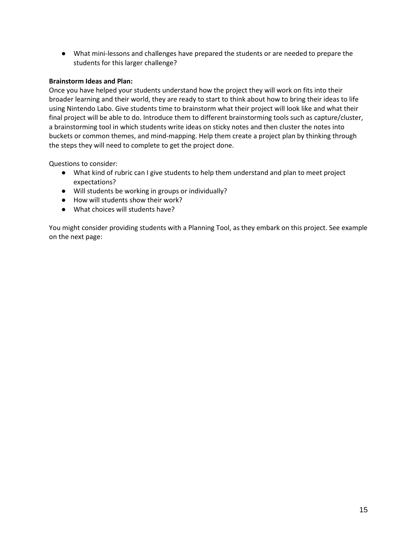● What mini-lessons and challenges have prepared the students or are needed to prepare the students for this larger challenge?

## **Brainstorm Ideas and Plan:**

Once you have helped your students understand how the project they will work on fits into their broader learning and their world, they are ready to start to think about how to bring their ideas to life using Nintendo Labo. Give students time to brainstorm what their project will look like and what their final project will be able to do. Introduce them to different brainstorming tools such as capture/cluster, a brainstorming tool in which students write ideas on sticky notes and then cluster the notes into buckets or common themes, and mind-mapping. Help them create a project plan by thinking through the steps they will need to complete to get the project done.

Questions to consider:

- What kind of rubric can I give students to help them understand and plan to meet project expectations?
- Will students be working in groups or individually?
- How will students show their work?
- What choices will students have?

You might consider providing students with a Planning Tool, as they embark on this project. See example on the next page: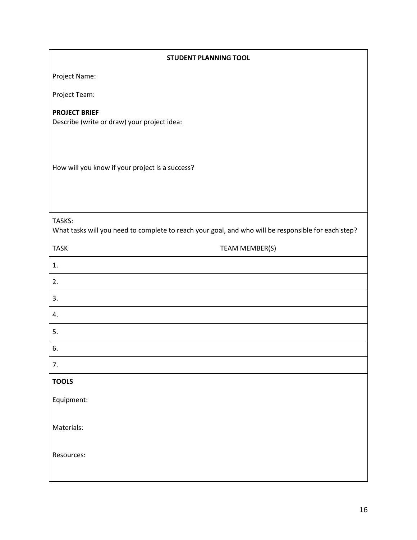| <b>STUDENT PLANNING TOOL</b>                                                                                  |  |  |  |
|---------------------------------------------------------------------------------------------------------------|--|--|--|
| Project Name:                                                                                                 |  |  |  |
| Project Team:                                                                                                 |  |  |  |
| <b>PROJECT BRIEF</b><br>Describe (write or draw) your project idea:                                           |  |  |  |
| How will you know if your project is a success?                                                               |  |  |  |
| TASKS:<br>What tasks will you need to complete to reach your goal, and who will be responsible for each step? |  |  |  |
| <b>TASK</b><br>TEAM MEMBER(S)                                                                                 |  |  |  |
| 1.                                                                                                            |  |  |  |
| 2.                                                                                                            |  |  |  |
| 3.                                                                                                            |  |  |  |
| 4.                                                                                                            |  |  |  |
| 5.                                                                                                            |  |  |  |
| 6.                                                                                                            |  |  |  |
| 7.                                                                                                            |  |  |  |
| <b>TOOLS</b>                                                                                                  |  |  |  |
| Equipment:                                                                                                    |  |  |  |
| Materials:                                                                                                    |  |  |  |
| Resources:                                                                                                    |  |  |  |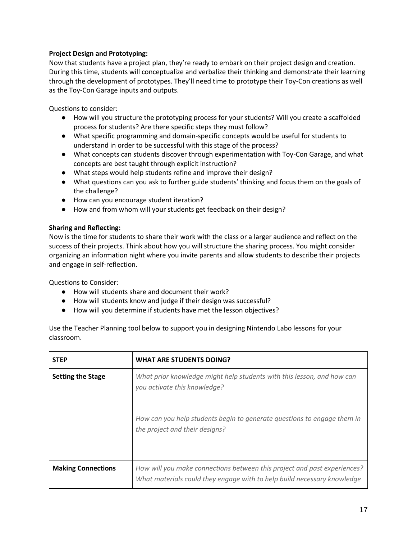## **Project Design and Prototyping:**

Now that students have a project plan, they're ready to embark on their project design and creation. During this time, students will conceptualize and verbalize their thinking and demonstrate their learning through the development of prototypes. They'll need time to prototype their Toy-Con creations as well as the Toy-Con Garage inputs and outputs.

Questions to consider:

- How will you structure the prototyping process for your students? Will you create a scaffolded process for students? Are there specific steps they must follow?
- What specific programming and domain-specific concepts would be useful for students to understand in order to be successful with this stage of the process?
- What concepts can students discover through experimentation with Toy-Con Garage, and what concepts are best taught through explicit instruction?
- What steps would help students refine and improve their design?
- What questions can you ask to further guide students' thinking and focus them on the goals of the challenge?
- How can you encourage student iteration?
- How and from whom will your students get feedback on their design?

## **Sharing and Reflecting:**

Now is the time for students to share their work with the class or a larger audience and reflect on the success of their projects. Think about how you will structure the sharing process. You might consider organizing an information night where you invite parents and allow students to describe their projects and engage in self-reflection.

Questions to Consider:

- How will students share and document their work?
- How will students know and judge if their design was successful?
- How will you determine if students have met the lesson objectives?

Use the Teacher Planning tool below to support you in designing Nintendo Labo lessons for your classroom.

| <b>STEP</b>               | <b>WHAT ARE STUDENTS DOING?</b>                                                                                                                     |
|---------------------------|-----------------------------------------------------------------------------------------------------------------------------------------------------|
| <b>Setting the Stage</b>  | What prior knowledge might help students with this lesson, and how can<br>you activate this knowledge?                                              |
|                           | How can you help students begin to generate questions to engage them in<br>the project and their designs?                                           |
| <b>Making Connections</b> | How will you make connections between this project and past experiences?<br>What materials could they engage with to help build necessary knowledge |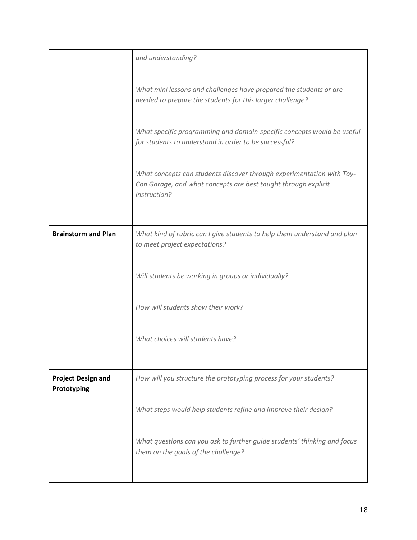|                                          | and understanding?                                                                                                                                      |
|------------------------------------------|---------------------------------------------------------------------------------------------------------------------------------------------------------|
|                                          | What mini lessons and challenges have prepared the students or are<br>needed to prepare the students for this larger challenge?                         |
|                                          | What specific programming and domain-specific concepts would be useful<br>for students to understand in order to be successful?                         |
|                                          | What concepts can students discover through experimentation with Toy-<br>Con Garage, and what concepts are best taught through explicit<br>instruction? |
|                                          |                                                                                                                                                         |
| <b>Brainstorm and Plan</b>               | What kind of rubric can I give students to help them understand and plan<br>to meet project expectations?                                               |
|                                          | Will students be working in groups or individually?                                                                                                     |
|                                          | How will students show their work?                                                                                                                      |
|                                          | What choices will students have?                                                                                                                        |
|                                          |                                                                                                                                                         |
| <b>Project Design and</b><br>Prototyping | How will you structure the prototyping process for your students?                                                                                       |
|                                          | What steps would help students refine and improve their design?                                                                                         |
|                                          | What questions can you ask to further guide students' thinking and focus<br>them on the goals of the challenge?                                         |
|                                          |                                                                                                                                                         |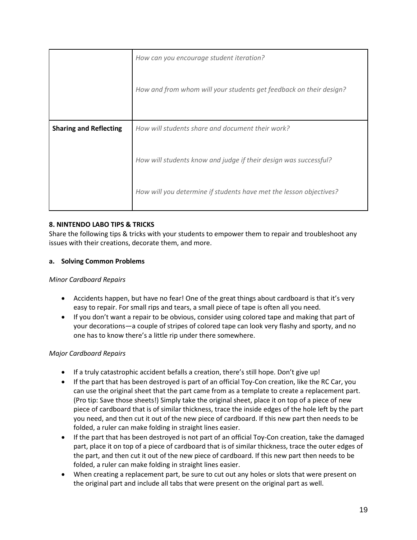|                               | How can you encourage student iteration?<br>How and from whom will your students get feedback on their design? |
|-------------------------------|----------------------------------------------------------------------------------------------------------------|
| <b>Sharing and Reflecting</b> | How will students share and document their work?                                                               |
|                               | How will students know and judge if their design was successful?                                               |
|                               | How will you determine if students have met the lesson objectives?                                             |

## <span id="page-19-0"></span>**8. NINTENDO LABO TIPS & TRICKS**

Share the following tips & tricks with your students to empower them to repair and troubleshoot any issues with their creations, decorate them, and more.

## **a. Solving Common Problems**

## *Minor Cardboard Repairs*

- Accidents happen, but have no fear! One of the great things about cardboard is that it's very easy to repair. For small rips and tears, a small piece of tape is often all you need.
- If you don't want a repair to be obvious, consider using colored tape and making that part of your decorations—a couple of stripes of colored tape can look very flashy and sporty, and no one has to know there's a little rip under there somewhere.

## *Major Cardboard Repairs*

- If a truly catastrophic accident befalls a creation, there's still hope. Don't give up!
- If the part that has been destroyed is part of an official Toy-Con creation, like the RC Car, you can use the original sheet that the part came from as a template to create a replacement part. (Pro tip: Save those sheets!) Simply take the original sheet, place it on top of a piece of new piece of cardboard that is of similar thickness, trace the inside edges of the hole left by the part you need, and then cut it out of the new piece of cardboard. If this new part then needs to be folded, a ruler can make folding in straight lines easier.
- If the part that has been destroyed is not part of an official Toy-Con creation, take the damaged part, place it on top of a piece of cardboard that is of similar thickness, trace the outer edges of the part, and then cut it out of the new piece of cardboard. If this new part then needs to be folded, a ruler can make folding in straight lines easier.
- When creating a replacement part, be sure to cut out any holes or slots that were present on the original part and include all tabs that were present on the original part as well.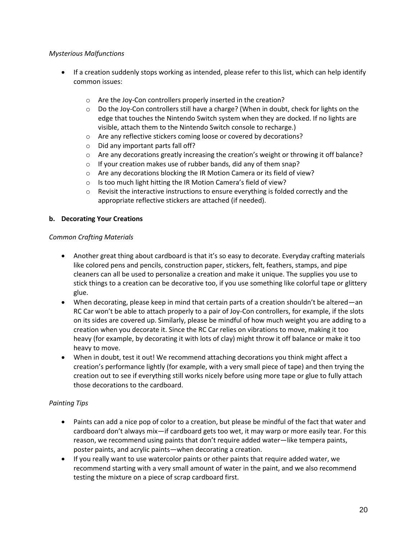## *Mysterious Malfunctions*

- If a creation suddenly stops working as intended, please refer to this list, which can help identify common issues:
	- o Are the Joy-Con controllers properly inserted in the creation?
	- o Do the Joy-Con controllers still have a charge? (When in doubt, check for lights on the edge that touches the Nintendo Switch system when they are docked. If no lights are visible, attach them to the Nintendo Switch console to recharge.)
	- o Are any reflective stickers coming loose or covered by decorations?
	- o Did any important parts fall off?
	- $\circ$  Are any decorations greatly increasing the creation's weight or throwing it off balance?
	- o If your creation makes use of rubber bands, did any of them snap?
	- o Are any decorations blocking the IR Motion Camera or its field of view?
	- o Is too much light hitting the IR Motion Camera's field of view?
	- $\circ$  Revisit the interactive instructions to ensure everything is folded correctly and the appropriate reflective stickers are attached (if needed).

## **b. Decorating Your Creations**

## *Common Crafting Materials*

- Another great thing about cardboard is that it's so easy to decorate. Everyday crafting materials like colored pens and pencils, construction paper, stickers, felt, feathers, stamps, and pipe cleaners can all be used to personalize a creation and make it unique. The supplies you use to stick things to a creation can be decorative too, if you use something like colorful tape or glittery glue.
- When decorating, please keep in mind that certain parts of a creation shouldn't be altered—an RC Car won't be able to attach properly to a pair of Joy-Con controllers, for example, if the slots on its sides are covered up. Similarly, please be mindful of how much weight you are adding to a creation when you decorate it. Since the RC Car relies on vibrations to move, making it too heavy (for example, by decorating it with lots of clay) might throw it off balance or make it too heavy to move.
- When in doubt, test it out! We recommend attaching decorations you think might affect a creation's performance lightly (for example, with a very small piece of tape) and then trying the creation out to see if everything still works nicely before using more tape or glue to fully attach those decorations to the cardboard.

## *Painting Tips*

- Paints can add a nice pop of color to a creation, but please be mindful of the fact that water and cardboard don't always mix—if cardboard gets too wet, it may warp or more easily tear. For this reason, we recommend using paints that don't require added water—like tempera paints, poster paints, and acrylic paints—when decorating a creation.
- If you really want to use watercolor paints or other paints that require added water, we recommend starting with a very small amount of water in the paint, and we also recommend testing the mixture on a piece of scrap cardboard first.